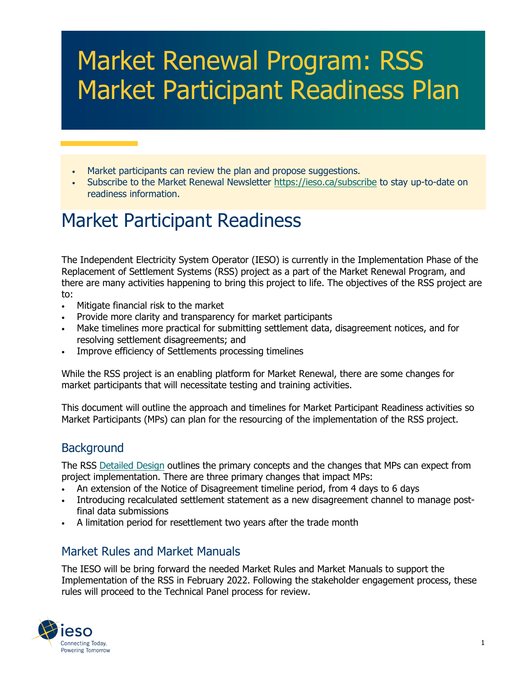# Market Renewal Program: RSS Market Participant Readiness Plan

- Market participants can review the plan and propose suggestions.
- Subscribe to the Market Renewal Newsletter https://ieso.ca/subscribe to stay up-to-date on readiness information.

## Market Participant Readiness

The Independent Electricity System Operator (IESO) is currently in the Implementation Phase of the Replacement of Settlement Systems (RSS) project as a part of the Market Renewal Program, and there are many activities happening to bring this project to life. The objectives of the RSS project are to:

- Mitigate financial risk to the market
- Provide more clarity and transparency for market participants
- Make timelines more practical for submitting settlement data, disagreement notices, and for resolving settlement disagreements; and
- Improve efficiency of Settlements processing timelines

While the RSS project is an enabling platform for Market Renewal, there are some changes for market participants that will necessitate testing and training activities.

This document will outline the approach and timelines for Market Participant Readiness activities so Market Participants (MPs) can plan for the resourcing of the implementation of the RSS project.

#### **Background**

The RSS [Detailed Design](https://www.ieso.ca/-/media/Files/IESO/Document-Library/engage/mrp-edd/edd-20210630-settlement-disagreements-resettlements-process-design-document.ashx) outlines the primary concepts and the changes that MPs can expect from project implementation. There are three primary changes that impact MPs:

- An extension of the Notice of Disagreement timeline period, from 4 days to 6 days
- Introducing recalculated settlement statement as a new disagreement channel to manage postfinal data submissions
- A limitation period for resettlement two years after the trade month

#### Market Rules and Market Manuals

The IESO will be bring forward the needed Market Rules and Market Manuals to support the Implementation of the RSS in February 2022. Following the stakeholder engagement process, these rules will proceed to the Technical Panel process for review.

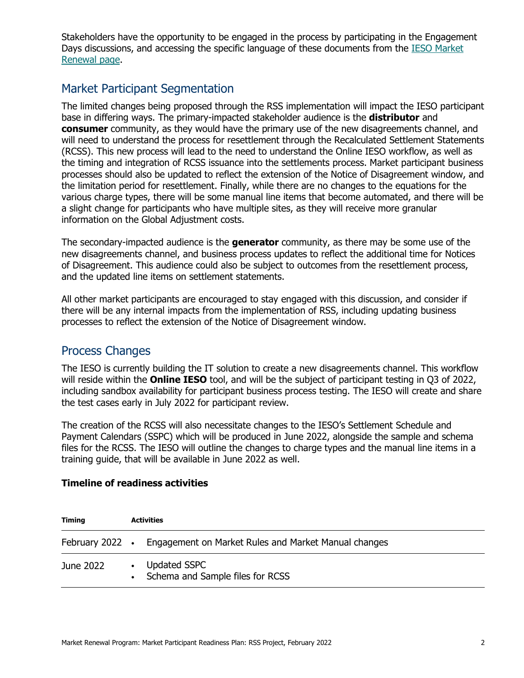Stakeholders have the opportunity to be engaged in the process by participating in the Engagement Days discussions, and accessing the specific language of these documents from the [IESO Market](https://ieso.ca/en/Market-Renewal/Energy-Stream-Designs/Implementation-phase-documents)  [Renewal page.](https://ieso.ca/en/Market-Renewal/Energy-Stream-Designs/Implementation-phase-documents)

#### Market Participant Segmentation

The limited changes being proposed through the RSS implementation will impact the IESO participant base in differing ways. The primary-impacted stakeholder audience is the **distributor** and **consumer** community, as they would have the primary use of the new disagreements channel, and will need to understand the process for resettlement through the Recalculated Settlement Statements (RCSS). This new process will lead to the need to understand the Online IESO workflow, as well as the timing and integration of RCSS issuance into the settlements process. Market participant business processes should also be updated to reflect the extension of the Notice of Disagreement window, and the limitation period for resettlement. Finally, while there are no changes to the equations for the various charge types, there will be some manual line items that become automated, and there will be a slight change for participants who have multiple sites, as they will receive more granular information on the Global Adjustment costs.

The secondary-impacted audience is the **generator** community, as there may be some use of the new disagreements channel, and business process updates to reflect the additional time for Notices of Disagreement. This audience could also be subject to outcomes from the resettlement process, and the updated line items on settlement statements.

All other market participants are encouraged to stay engaged with this discussion, and consider if there will be any internal impacts from the implementation of RSS, including updating business processes to reflect the extension of the Notice of Disagreement window.

#### Process Changes

The IESO is currently building the IT solution to create a new disagreements channel. This workflow will reside within the **Online IESO** tool, and will be the subject of participant testing in Q3 of 2022, including sandbox availability for participant business process testing. The IESO will create and share the test cases early in July 2022 for participant review.

The creation of the RCSS will also necessitate changes to the IESO's Settlement Schedule and Payment Calendars (SSPC) which will be produced in June 2022, alongside the sample and schema files for the RCSS. The IESO will outline the changes to charge types and the manual line items in a training guide, that will be available in June 2022 as well.

| <b>Timing</b> | <b>Activities</b> |                                                                      |
|---------------|-------------------|----------------------------------------------------------------------|
|               |                   | February 2022 • Engagement on Market Rules and Market Manual changes |
| June 2022     | $\bullet$         | Updated SSPC<br>Schema and Sample files for RCSS                     |

#### **Timeline of readiness activities**